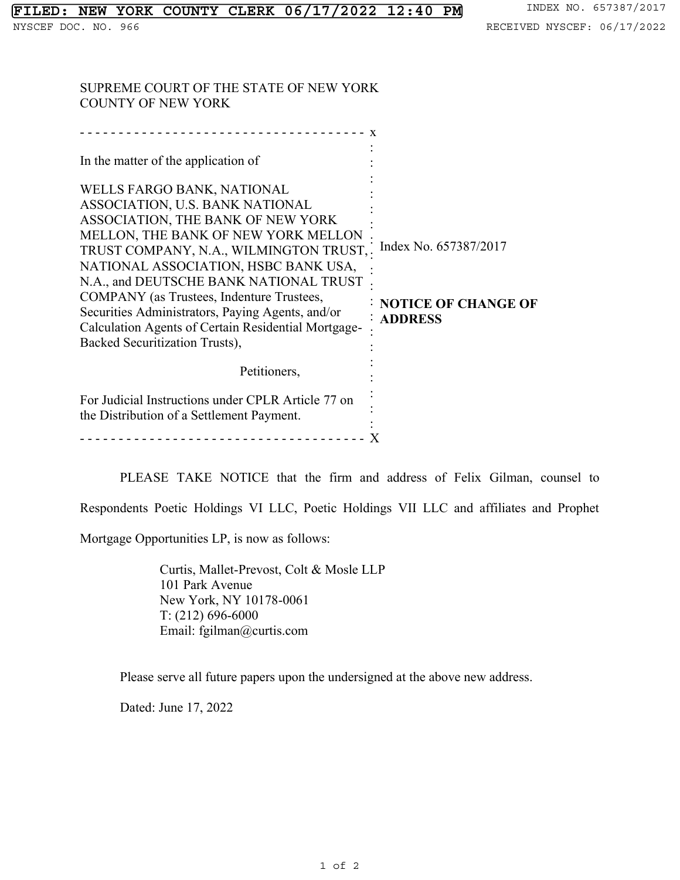SUPREME COURT OF THE STATE OF NEW YORK COUNTY OF NEW YORK

| In the matter of the application of<br>WELLS FARGO BANK, NATIONAL<br>ASSOCIATION, U.S. BANK NATIONAL<br>ASSOCIATION, THE BANK OF NEW YORK<br>MELLON, THE BANK OF NEW YORK MELLON<br>TRUST COMPANY, N.A., WILMINGTON TRUST,.<br>NATIONAL ASSOCIATION, HSBC BANK USA,<br>N.A., and DEUTSCHE BANK NATIONAL TRUST<br>COMPANY (as Trustees, Indenture Trustees,<br>Securities Administrators, Paying Agents, and/or<br>Calculation Agents of Certain Residential Mortgage-<br>Backed Securitization Trusts), | Index No. 657387/2017<br><b>NOTICE OF CHANGE OF</b><br><b>: ADDRESS</b> |
|---------------------------------------------------------------------------------------------------------------------------------------------------------------------------------------------------------------------------------------------------------------------------------------------------------------------------------------------------------------------------------------------------------------------------------------------------------------------------------------------------------|-------------------------------------------------------------------------|
| Petitioners,<br>For Judicial Instructions under CPLR Article 77 on                                                                                                                                                                                                                                                                                                                                                                                                                                      |                                                                         |
| the Distribution of a Settlement Payment.                                                                                                                                                                                                                                                                                                                                                                                                                                                               |                                                                         |

PLEASE TAKE NOTICE that the firm and address of Felix Gilman, counsel to Respondents Poetic Holdings VI LLC, Poetic Holdings VII LLC and affiliates and Prophet

Mortgage Opportunities LP, is now as follows:

Curtis, Mallet-Prevost, Colt & Mosle LLP 101 Park Avenue New York, NY 10178-0061 T: (212) 696-6000 Email: fgilman@curtis.com

Please serve all future papers upon the undersigned at the above new address.

Dated: June 17, 2022